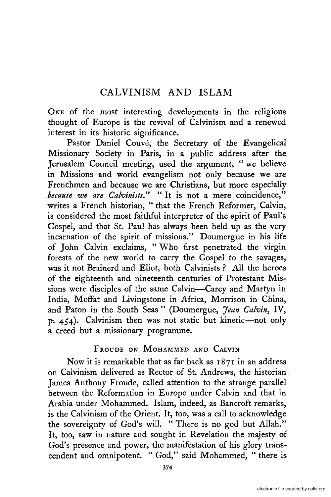ONE of the most interesting developments in the religious thought of Europe is the revival of Calvinism and a renewed interest in its historic significance.

Pastor Daniel Couvé, the Secretary of the Evangelical Missionary Society in Paris, in a public address after the Jerusalem Council meeting, used the argument, "we believe in Missions and world evangelism not only because we are Frenchmen and because we are Christians, but more especially *because we are Calvinists."* **"It** is not a mere coincidence," writes a French historian, "that the French Reformer, Calvin, is considered the most faithful interpreter of the spirit of Paul's Gospel, and that St. Paul has always been held up as the very incarnation of the spirit of missions." Doumergue in his life of John Calvin exclaims, "Who first penetrated the virgin forests of the new world to carry the Gospel to the savages, was it not Brainerd and Eliot, both Calvinists? All the heroes of the eighteenth and nineteenth centuries of Protestant Missions were disciples of the same Calvin-Carey and Martyn in India, Moffat and Livingstone in Africa, Morrison in China, and Paton in the South Seas" (Doumergue, *Jean Calvin,* IV, p. 454). Calvinism then was not static but kinetic--not only a creed but a missionary programme.

# FROUDE ON MOHAMMED AND CALVIN

Now it is remarkable that as far back as  $1871$  in an address on Calvinism delivered as Rector of St. Andrews, the historian James Anthony Froude, called attention to the strange parallel between the Reformation in Europe under Calvin and that in Arabia under Mohammed. Islam, indeed, as Bancroft remarks, is the Calvinism of the Orient. It, too, was a call to acknowledge the sovereignty of God's will. "There is no god but Allah." It, too, saw in nature and sought in Revelation the majesty of God's presence and power, the manifestation of his glory transcendent and omnipotent. "God," said Mohammed, " there is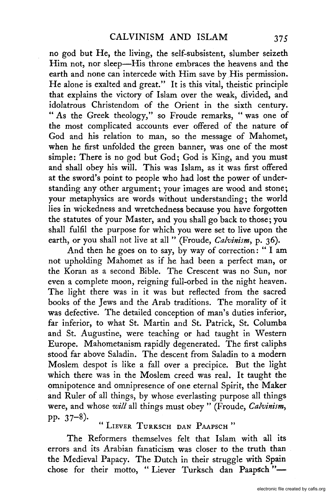no god but He, the living, the self-subsistent, slumber seizeth Him not, nor sleep-His throne embraces the heavens and the earth and none can intercede with Him save by.His permission. He alone is exalted and great." It is this vital, theistic principle that explains the victory of Islam over the weak, divided, and idolatrous Christendom of the Orient in the sixth century. " As the Greek theology," so Froude remarks, "was one of the most complicated accounts ever offered of the nature of God and his relation to man, so the message of Mahomet, when he first unfolded the green banner, was one of the most simple: There is no god but God; God is King, and you must and shall obey his will. This was Islam, as it was first offered at the sword's point to people who had lost the power of understanding any other argument; your images are wood and stone; your metaphysics are words without understanding; the world lies in wickedness and wretchedness because you have forgotten the statutes of your Master, and you shall go back to those; you shall fulfil the purpose for which you were set to live upon the earth, or you shall not live at all " (Froude, *Calvinism,* p. 36).

And then he goes on to say, by way of correction: " I am not upholding Mahomet as if he had been a perfect man, or the Koran as a second Bible. The Crescent was no Sun, nor even a complete moon, reigning full-orbed in the night heaven. The light there was in it was but reflected from the sacred books of the Jews and the Arab traditions. The morality of it was defective. The detailed conception of man's duties inferior, far inferior, to what St. Martin and St. Patrick, St. Columba and St. Augustine, were teaching or had taught in Western Europe. Mahometanism rapidly degenerated. The first caliphs stood far above Saladin. The descent from Saladin to a modern Moslem despot is like a fall over a precipice. But the light which there was in the Moslem creed was real. It taught the omnipotence and omnipresence of one eternal Spirit, the Maker and Ruler of all things, by whose everlasting purpose all things were, and whose *will* all things must obey" (Froude, *Calvinism,*  pp. 37-8).

LIEVER TURKSCH DAN PAAPSCH"

The Reformers themselves felt that Islam with all its errors and its Arabian fanaticism was closer to the truth than the Medieval Papacy. The Dutch in their struggle with Spain chose for their motto, "Liever Turksch dan Paapsch"-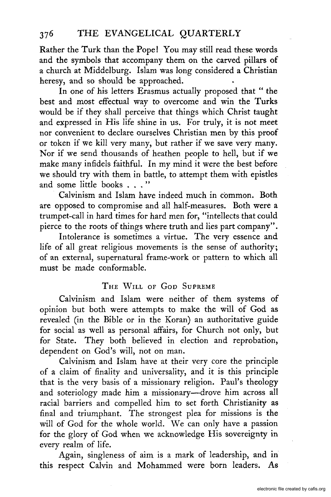Rather the Turk than the Pope! You may stilI read these words and the symbols that accompany them on the carved pillars of a church at Middelburg. Islam was long considered a Christian heresy, and so should be approached.

In *one* of his letters Erasmus actually proposed that " the best and most effectual way to overcome and win the Turks would be if they shall perceive that things which Christ taught and expressed in His life shine in us. For truly, it is not meet nor convenient to declare ourselves Christian men by this proof or token if we kill very many, but rather if we save very many. Nor if we send thousands of heathen people to hell, but if we make many infidels faithful. In my mind it were the best before we should try with them in battle, to attempt them with epistles and some little books . . . "

Calvinism and Islam have indeed much in common. Both are opposed to compromise and all half-measures. Both were a trumpet-call in hard times for hard men for, "intellects that could pierce to the roots of things where truth and lies part company" .

Intolerance is sometimes a virtue. The very essence and life of all great religious movements is the sense of authority; of an external, supernatural frame-work or pattern to which all must be made conformable.

# THE WILL OF GOD SUPREME

Calvinism and Islam were neither of them systems of opinion but both were attempts to make the will of God as revealed (in the Bible or in the Koran) an authoritative guide for social as well as personal affairs, for Church not only, but for State. They both believed in election and reprobation, dependent on God's will, not on man.

Calvinism and Islam have at their very core the principle of a claim of finality and universality, and it is this principle that is the very basis of a missionary religion. Paul's theology and soteriology made him a missionary-drove him across all racial barriers and compelled him to set forth Christianity as final and triumphant. The strongest plea for missions is the will of God for the whole world. We can only have a passion for the glory of God when we acknowledge His sovereignty in every realm of life.

Again, singleness of aim is a mark of leadership, and in this respect Calvin and Mohammed were born leaders. As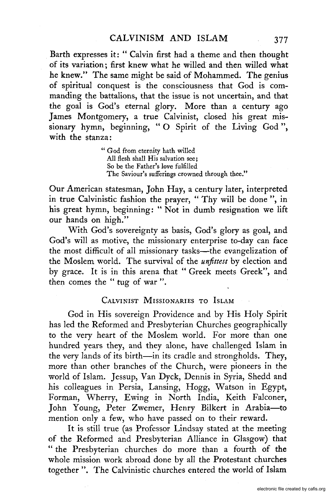Barth expresses it: " Calvin first had a theme and then thought of its variation; first knew what he willed and then willed what he knew." The same might be said of Mohammed. The genius of spiritual conquest is the consciousness that God is commanding the battalions, that the issue is not uncertain, and that the goal is God's eternal glory. More than a century ago James Montgomery, a true Calvinist, closed his great missionary hymn, beginning, "0 Spirit of the Living God", with the stanza:

> " God from eternity hath willed All flesh shall His salvation see; So be the Father's *love* fulfilled The Saviour's sufferings crowned through thee."

Our American statesman, John Hay, a century later, interpreted in true Calvinistic fashion the prayer, " Thy will be done ", in his great hymn, beginning: " Not in dumb resignation we lift our hands on high."

With God's sovereignty as basis, God's glory as goal, and God's will as motive, the missionary enterprise to-day can face the most difficult of all missionary tasks-the evangelization of the Moslem world. The survival of the *unfittest* by election and by grace. It is in this arena that" Greek meets Greek", and then comes the " tug of war ".

#### CALVINIST MISSIONARIES TO ISLAM

God in His sovereign Providence and by His Holy Spirit has led the Reformed and Presbyterian Churches geographically to the very heart of the Moslem world. For more than one hundred years they, and they alone, have challenged Islam in the very lands of its birth-in its cradle and strongholds. They, more than other branches of the Church, were pioneers in the world of Islam. Jessup, Van Dyck, Dennis in Syria, Shedd and his colleagues in Persia, Lansing, Hogg, Watson in Egypt, Forman, Wherry, Ewing in North India, Keith Falconer, John Young, Peter Zwemer, Henry Bilkert in Arabia-to mention only a few, who have passed on to their reward.

It is still true (as Professor Lindsay stated at the meeting of the Reformed and Presbyterian Alliance in Glasgow) that "the Presbyterian churches do more than a fourth of the whole mission work abroad done by all the Protestant churches together". The Calvinistic churches entered the world of Islam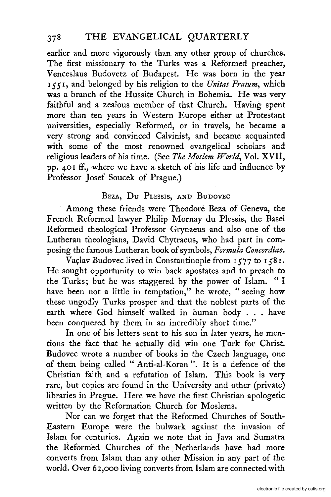earlier and more vigorously than any other group of churches. The first missionary to the Turks was a Reformed preacher, Venceslaus Budovetz of Budapest. He was born in the year *ISS* I, and belonged by his religion to the *Unitas Fratum,* which was a branch of the Hussite Church in Bohemia. He was very faithful and a zealous member of that Church. Having spent more than ten years in Western Europe either at Protestant universities, especially Reformed, or in travels, he became a very strong and convinced Calvinist, and became acquainted with some of the most renowned evangelical scholars and religious leaders of his time. (See *The Moslem World,* VoL XVII, pp. 40 I ff., where we have a sketch of his life and influence by Professor Josef Soucek of Prague.)

# BEZA, Du PLESSIS, AND BUDOVEC

Among these friends were Theodore Beza of Geneva, the French Reformed lawyer Philip Mornay du Plessis, the Basel Reformed theological Professor Grynaeus and also one of the Lutheran theologians, David Chytraeus, who had part in composing the famous Lutheran book of symbols, *Formula Concordiae.* 

Vaclav Budovec lived in Constantinople from 1577 to 1581. He sought opportunity to win back apostates and to preach to the Turks; but he was staggered by the power of Islam. "I have been not a little in temptation," he wrote, "seeing how these ungodly Turks prosper and that the noblest parts of the earth where God himself walked in human body ... have been conquered by them in an incredibly short time."

In one of his letters sent to his son in later years, he mentions the fact that he actually did win one Turk for Christ. Budovec wrote a number of books in the Czech language, one of them being called" Anti-aI-Koran". It is a defence of the Christian faith and a refutation of Islam. This book is very rare, but copies are found in the University and other (private) libraries in Prague. *Here* we have *the* first Christian apologetic written by the Reformation Church for Moslems.

Nor can we forget that the Reformed Churches of South-Eastern Europe were the bulwark against the invasion of Islam for centuries. Again we note that in Java and Sumatra the Reformed Churches of the Netherlands have had more converts from Islam than any other Mission in any part of the world. Over 62,000 living converts from Islam are connected with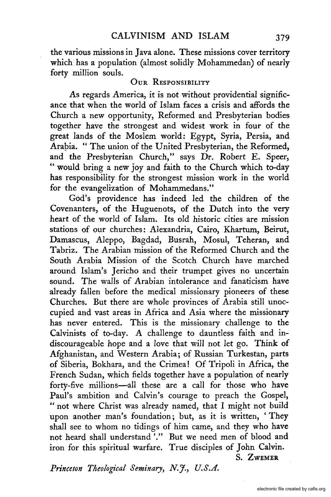the various missions in Java alone. These missions cover territory which has a population (almost solidly Mohammedan) of nearly forty million souls.

### OUR RESPONSIBILITY

As regards America, it is not without providential significance that when the world of Islam faces a crisis and affords the Church a new opportunity, Reformed and Presbyterian bodies together have the strongest and widest work in four of the great lands of the Moslem world: Egypt, Syria, Persia, and Arapia. "The union of the United Presbyterian, the Reformed, and the Presbyterian Church," says Dr. Robert E. Speer, " would bring a new joy and faith to the Church which to-day has responsibility for the strongest mission work in the world for the evangelization of Mohammedans."

God's providence has indeed led the children of the Covenanters, of the Huguenots, of the Dutch into the very heart of the world of Islam. Its old historic cities are mission stations of our churches: Alexandria, Cairo, Khartum, Beirut, Damascus, Aleppo, Bagdad, Busrah, Mosul, Teheran, and Tabriz. The Arabian mission of the Reformed Church and the South Arabia Mission of the Scotch Church have marched around Islam's Jericho and their trumpet gives no uncertain sound. The walls of Arabian intolerance and fanaticism have already fallen before the medical missionary pioneers of these Churches. But there are whole provinces of Arabia still unoccupied and vast areas in Africa and Asia where the missionary has never entered. This is the missionary challenge to the Calvinists of to-day. A challenge to dauntless faith and indiscourageable hope and a love that will not let go. Think of Afghanistan, and Western Arabia; of Russian Turkestan, parts of Siberia, Bokhara, and the Crimea! Of Tripoli in Africa, the French Sudan, which fields together have a population of nearly forty-five millions-all these are a call for those who have Paul's ambition and Calvin's courage to preach the Gospel, " not where Christ was already named, that I might not build upon another man's foundation; but, as it is written, 'They shall see to whom no tidings of him came, and they who have not heard shall understand '." But we need men of blood and iron for this spiritual warfare. True disciples of John Calvin.

S. ZWEMER

*Princeton Theological Seminary, N.J., U.S.A.*